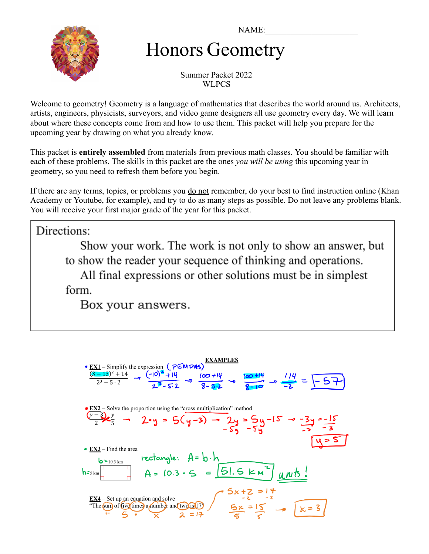NAME:



# Honors Geometry

Summer Packet 2022 WLPCS

Welcome to geometry! Geometry is a language of mathematics that describes the world around us. Architects, artists, engineers, physicists, surveyors, and video game designers all use geometry every day. We will learn about where these concepts come from and how to use them. This packet will help you prepare for the upcoming year by drawing on what you already know.

This packet is **entirely assembled** from materials from previous math classes. You should be familiar with each of these problems. The skills in this packet are the ones *you will be using* this upcoming year in geometry, so you need to refresh them before you begin.

If there are any terms, topics, or problems you <u>do not</u> remember, do your best to find instruction online (Khan Academy or Youtube, for example), and try to do as many steps as possible. Do not leave any problems blank. You will receive your first major grade of the year for this packet.

Directions:

Show your work. The work is not only to show an answer, but to show the reader your sequence of thinking and operations. All final expressions or other solutions must be in simplest form.

Box your answers.

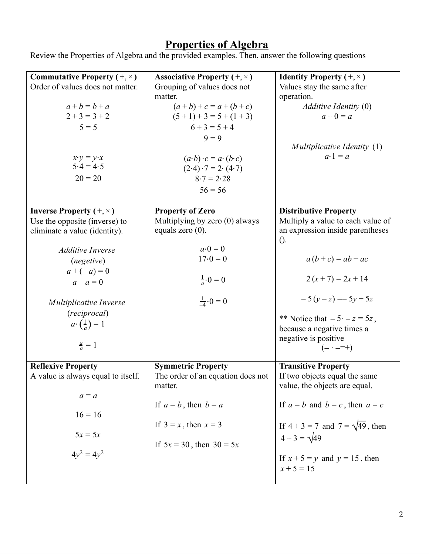#### **Properties of Algebra**

Review the Properties of Algebra and the provided examples. Then, answer the following questions

| <b>Commutative Property</b> $(+, \times)$<br>Order of values does not matter.<br>$a + b = b + a$<br>$2+3=3+2$<br>$5 = 5$<br>$x \cdot y = y \cdot x$<br>$5.4 = 4.5$<br>$20 = 20$                                                                                                 | <b>Associative Property</b> $(+, \times)$<br>Grouping of values does not<br>matter.<br>$(a+b)+c=a+(b+c)$<br>$(5+1)+3=5+(1+3)$<br>$6+3=5+4$<br>$9 = 9$<br>$(a \cdot b) \cdot c = a \cdot (b \cdot c)$<br>$(2.4) \cdot 7 = 2 \cdot (4.7)$<br>$8.7 = 2.28$<br>$56 = 56$ | <b>Identity Property</b> $(+, \times)$<br>Values stay the same after<br>operation.<br>$Additive$ Identity $(0)$<br>$a + 0 = a$<br><i>Multiplicative Identity</i> (1)<br>$a \cdot 1 = a$                                                                                                             |
|---------------------------------------------------------------------------------------------------------------------------------------------------------------------------------------------------------------------------------------------------------------------------------|----------------------------------------------------------------------------------------------------------------------------------------------------------------------------------------------------------------------------------------------------------------------|-----------------------------------------------------------------------------------------------------------------------------------------------------------------------------------------------------------------------------------------------------------------------------------------------------|
| <b>Inverse Property</b> $(+, \times)$<br>Use the opposite (inverse) to<br>eliminate a value (identity).<br><b>Additive Inverse</b><br>(negetive)<br>$a + (-a) = 0$<br>$a - a = 0$<br>Multiplicative Inverse<br>(reciprocal)<br>$a \cdot (\frac{1}{a}) = 1$<br>$\frac{a}{a} = 1$ | <b>Property of Zero</b><br>Multiplying by zero (0) always<br>equals zero $(0)$ .<br>$a\cdot 0=0$<br>$17.0 = 0$<br>$\frac{1}{a} \cdot 0 = 0$<br>$\frac{1}{4} \cdot 0 = 0$                                                                                             | <b>Distributive Property</b><br>Multiply a value to each value of<br>an expression inside parentheses<br>$()$ .<br>$a(b+c) = ab + ac$<br>$2(x+7) = 2x + 14$<br>$-5(y-z) = -5y + 5z$<br>** Notice that $-5 \cdot -z = 5z$ ,<br>because a negative times a<br>negative is positive<br>$(- \cdot = +)$ |
| <b>Reflexive Property</b><br>A value is always equal to itself.<br>$a = a$<br>$16 = 16$<br>$5x = 5x$<br>$4y^2 = 4y^2$                                                                                                                                                           | <b>Symmetric Property</b><br>The order of an equation does not<br>matter.<br>If $a = b$ , then $b = a$<br>If $3 = x$ , then $x = 3$<br>If $5x = 30$ , then $30 = 5x$                                                                                                 | <b>Transitive Property</b><br>If two objects equal the same<br>value, the objects are equal.<br>If $a = b$ and $b = c$ , then $a = c$<br>If $4 + 3 = 7$ and $7 = \sqrt{49}$ , then<br>$4 + 3 = \sqrt{49}$<br>If $x + 5 = y$ and $y = 15$ , then<br>$x + 5 = 15$                                     |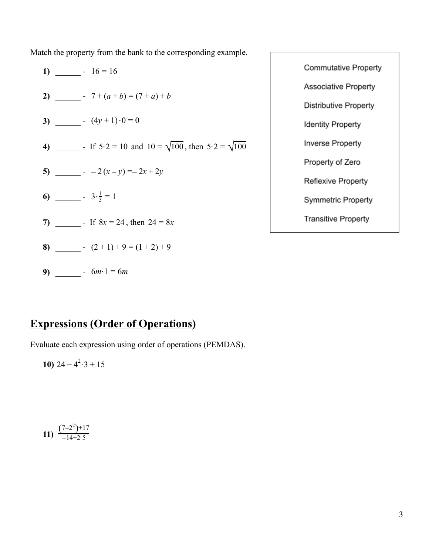Match the property from the bank to the corresponding example.

1) 
$$
\underline{\hspace{1cm}} \cdot 16 = 16
$$
  
\n2)  $\underline{\hspace{1cm}} \cdot 7 + (a + b) = (7 + a) + b$   
\n3)  $\underline{\hspace{1cm}} \cdot (4y + 1) \cdot 0 = 0$   
\n4)  $\underline{\hspace{1cm}} \cdot 165 \cdot 2 = 10$  and  $10 = \sqrt{100}$ , then  $5 \cdot 2 = \sqrt{100}$   
\n5)  $\underline{\hspace{1cm}} \cdot 2(x - y) = -2x + 2y$   
\n6)  $\underline{\hspace{1cm}} \cdot 3 \cdot \frac{1}{3} = 1$   
\n7)  $\underline{\hspace{1cm}} \cdot 168x = 24$ , then  $24 = 8x$   
\n8)  $\underline{\hspace{1cm}} \cdot (2 + 1) + 9 = (1 + 2) + 9$   
\n9)  $\underline{\hspace{1cm}} \cdot 6m \cdot 1 = 6m$ 

**Expressions (Order of Operations)** 

Evaluate each expression using order of operations (PEMDAS).

10) 
$$
24 - 4^2 \cdot 3 + 15
$$

$$
11) \ \frac{(7-2^2)+17}{-14+2\cdot 5}
$$

**Commutative Property** Associative Property Distributive Property **Identity Property** Inverse Property Property of Zero Reflexive Property Symmetric Property **Transitive Property**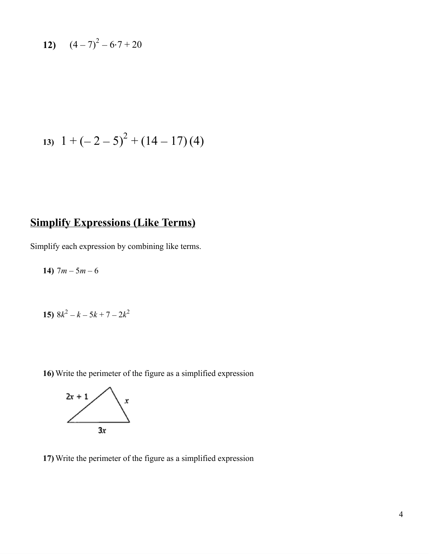12) 
$$
(4-7)^2 - 6 \cdot 7 + 20
$$

$$
13) \ \ 1+(-2-5)^2+(14-17)(4)
$$

# **Simplify Expressions (Like Terms)**

Simplify each expression by combining like terms.

**14)**  $7m - 5m - 6$ 

15) 
$$
8k^2 - k - 5k + 7 - 2k^2
$$

**16)** Write the perimeter of the figure as a simplified expression



**17)** Write the perimeter of the figure as a simplified expression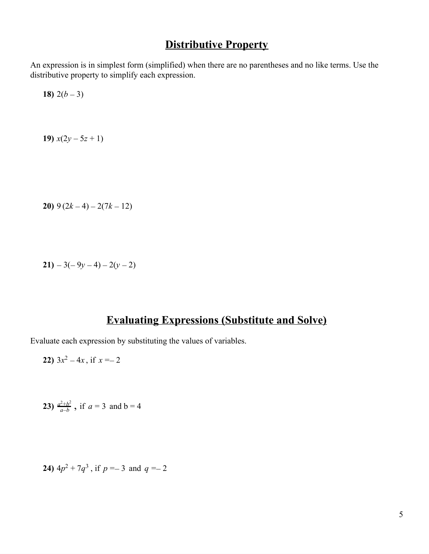## **Distributive Property**

An expression is in simplest form (simplified) when there are no parentheses and no like terms. Use the distributive property to simplify each expression.

**18)**  $2(b-3)$ 

**19)**  $x(2y - 5z + 1)$ 

**20)** 9 (2*k* − 4) − 2(7*k* − 12)

$$
21) - 3(-9y - 4) - 2(y - 2)
$$

#### **Evaluating Expressions (Substitute and Solve)**

Evaluate each expression by substituting the values of variables.

22) 
$$
3x^2 - 4x
$$
, if  $x = -2$ 

**23)** 
$$
\frac{a^2+b^2}{a-b}
$$
, if  $a = 3$  and  $b = 4$ 

**24)** 
$$
4p^2 + 7q^3
$$
, if  $p = -3$  and  $q = -2$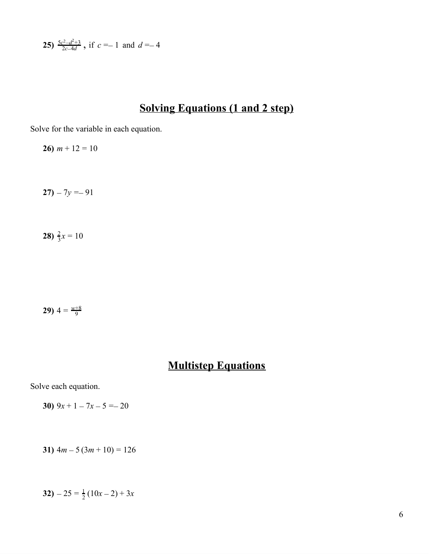**25)** 
$$
\frac{5c^2-d^2+3}{2c-4d}
$$
, if  $c = -1$  and  $d = -4$ 

## **Solving Equations (1 and 2 step)**

Solve for the variable in each equation.

**26)**  $m + 12 = 10$ 

**27)**  $-7y = -91$ 

**28**)  $\frac{2}{3}x = 10$ 

**29)**  $4 = \frac{w+8}{9}$ 

## **Multistep Equations**

Solve each equation.

**30)**  $9x + 1 - 7x - 5 = -20$ 

$$
31) \ 4m - 5 \ (3m + 10) = 126
$$

**32**)  $-25 = \frac{1}{2}(10x-2) + 3x$  $\frac{1}{2}(10x-2)+3x$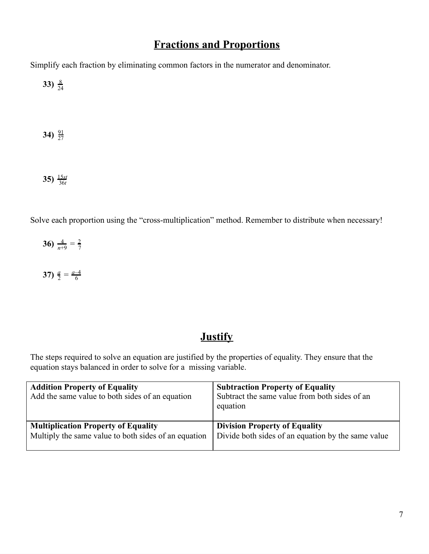## **Fractions and Proportions**

Simplify each fraction by eliminating common factors in the numerator and denominator.

**33**)  $\frac{8}{24}$ 

**34**)  $\frac{91}{27}$ 

**35)**  $\frac{15st}{36t}$ 

Solve each proportion using the "cross-multiplication" method. Remember to distribute when necessary!

**36**)  $\frac{4}{n+9} = \frac{2}{7}$ 

**37)**  $\frac{a}{2} = \frac{a-4}{6}$ 

#### **Justify**

The steps required to solve an equation are justified by the properties of equality. They ensure that the equation stays balanced in order to solve for a missing variable.

| <b>Addition Property of Equality</b><br>Add the same value to both sides of an equation            | <b>Subtraction Property of Equality</b><br>Subtract the same value from both sides of an<br>equation |
|----------------------------------------------------------------------------------------------------|------------------------------------------------------------------------------------------------------|
| <b>Multiplication Property of Equality</b><br>Multiply the same value to both sides of an equation | <b>Division Property of Equality</b><br>Divide both sides of an equation by the same value           |
|                                                                                                    |                                                                                                      |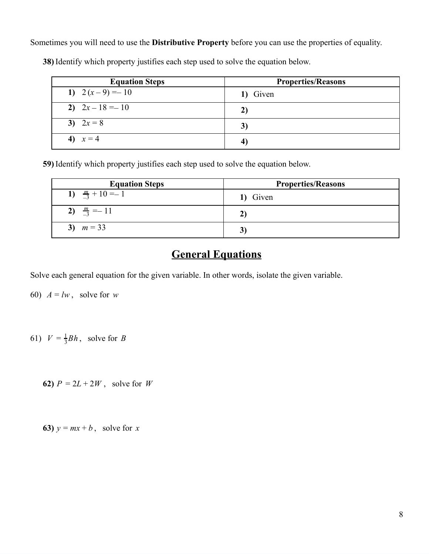Sometimes you will need to use the **Distributive Property** before you can use the properties of equality.

| <b>Equation Steps</b> | <b>Properties/Reasons</b> |
|-----------------------|---------------------------|
| 1) $2(x-9) = -10$     | Given<br>1)               |
| 2) $2x-18=-10$        | 2)                        |
| 3) $2x = 8$           | 3)                        |
| 4) $x = 4$            |                           |

**38)** Identify which property justifies each step used to solve the equation below.

**59)** Identify which property justifies each step used to solve the equation below.

| <b>Equation Steps</b>      | <b>Properties/Reasons</b> |
|----------------------------|---------------------------|
| 1) $\frac{m}{3} + 10 = -1$ | 1) Given                  |
| 2) $\frac{m}{3} = -11$     |                           |
| 3) $m = 33$                |                           |

#### **General Equations**

Solve each general equation for the given variable. In other words, isolate the given variable.

60)  $A = lw$ , solve for *w* 

61)  $V = \frac{1}{3}Bh$ , solve for B

**62)**  $P = 2L + 2W$ , solve for W

**63)**  $y = mx + b$ , solve for *x*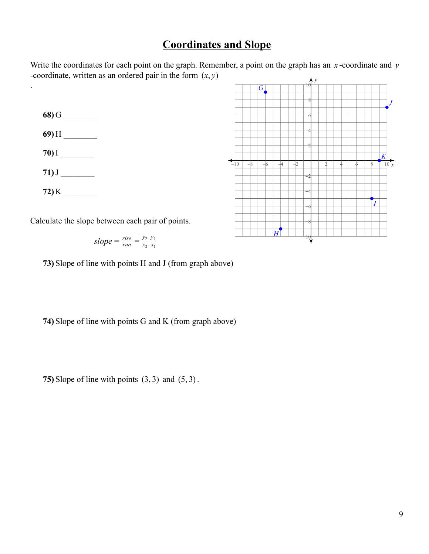#### **Coordinates and Slope**

Write the coordinates for each point on the graph. Remember, a point on the graph has an *x* -coordinate and *y* -coordinate, written as an ordered pair in the form  $(x, y)$ 

**68)** G \_\_\_\_\_\_\_\_

.

- **69)** H \_\_\_\_\_\_\_\_
- **70)** I \_\_\_\_\_\_\_\_
- **71)**J \_\_\_\_\_\_\_\_
- **72)** K \_\_\_\_\_\_\_\_

Calculate the slope between each pair of points.

$$
slope = \frac{rise}{run} = \frac{y_2 - y_1}{x_2 - x_1}
$$

**73)** Slope of line with points H and J (from graph above)

**74)** Slope of line with points G and K (from graph above)

**75)** Slope of line with points (3, 3) and (5, 3).

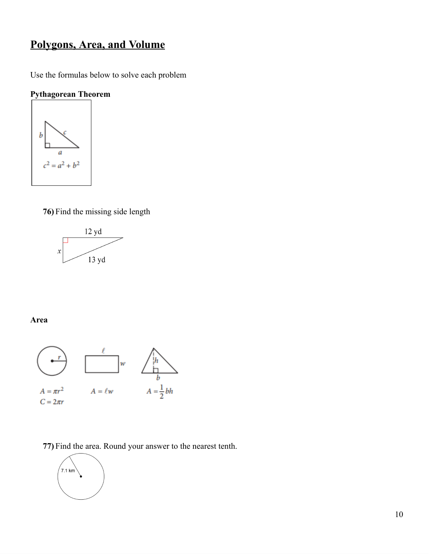# **Polygons, Area, and Volume**

Use the formulas below to solve each problem

#### **Pythagorean Theorem**



**76)** Find the missing side length



#### **Area**



**77)** Find the area. Round your answer to the nearest tenth.

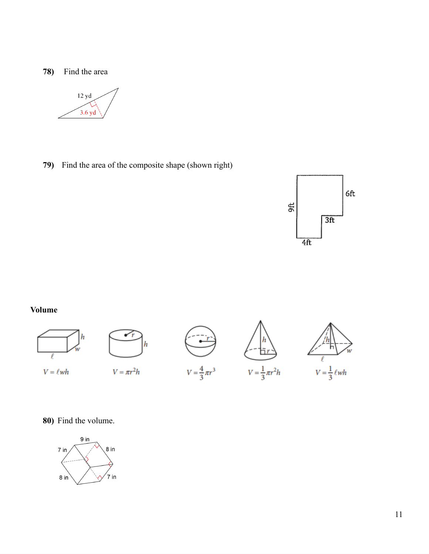#### **78)** Find the area



**79)** Find the area of the composite shape (shown right)



#### **Volume**



#### **80)** Find the volume.

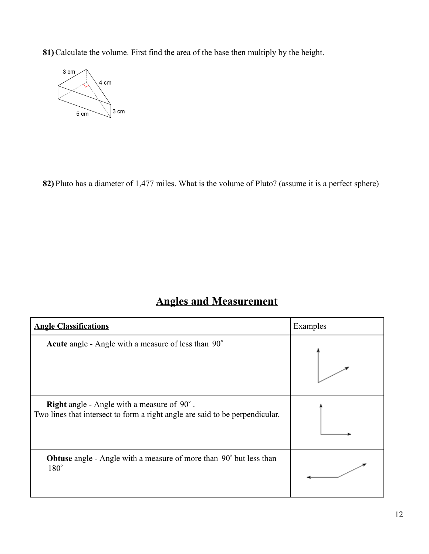**81)** Calculate the volume. First find the area of the base then multiply by the height.



**82)** Pluto has a diameter of 1,477 miles. What is the volume of Pluto? (assume it is a perfect sphere)

## **Angles and Measurement**

| <b>Angle Classifications</b>                                                                                                      | Examples |
|-----------------------------------------------------------------------------------------------------------------------------------|----------|
| Acute angle - Angle with a measure of less than 90°                                                                               |          |
| <b>Right</b> angle - Angle with a measure of 90°.<br>Two lines that intersect to form a right angle are said to be perpendicular. |          |
| <b>Obtuse</b> angle - Angle with a measure of more than 90° but less than<br>$180^\circ$                                          |          |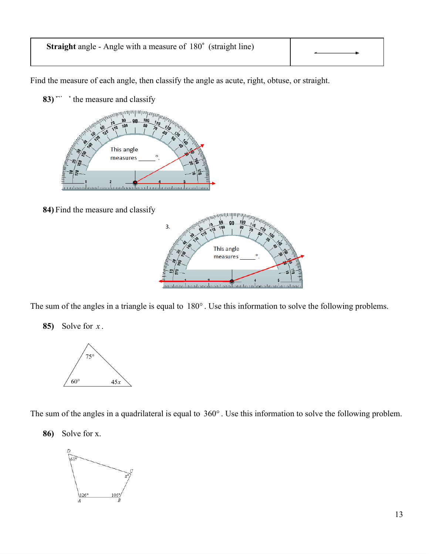# **Straight** angle - Angle with a measure of 180° (straight line)

Find the measure of each angle, then classify the angle as acute, right, obtuse, or straight.

- 83)<sup>*n*</sup> the measure and classify <sub>мн</sub>инции и пиригр<sub>ана</sub> This angle measures <u>unatau aluun tuna luuntana luunatan aluuntan</u> anadana
- **84)** Find the measure and classify



The sum of the angles in a triangle is equal to 180°. Use this information to solve the following problems.

**85)** Solve for *x* .



The sum of the angles in a quadrilateral is equal to 360°. Use this information to solve the following problem.

**86)** Solve for x.